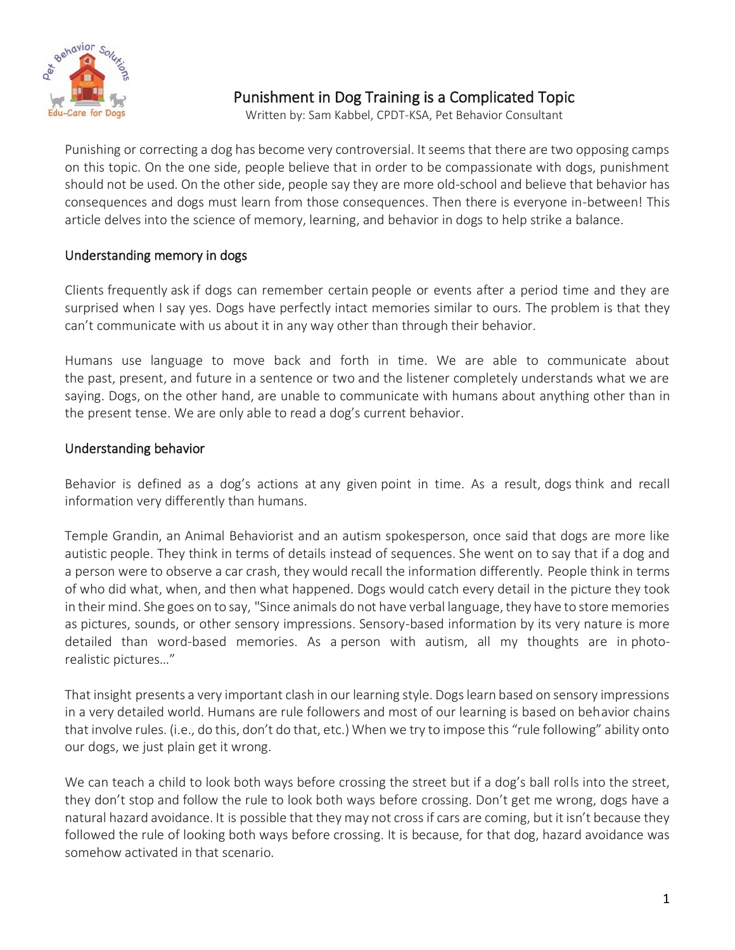

# Punishment in Dog Training is a Complicated Topic

Written by: Sam Kabbel, CPDT-KSA, Pet Behavior Consultant

Punishing or correcting a dog has become very controversial. It seems that there are two opposing camps on this topic. On the one side, people believe that in order to be compassionate with dogs, punishment should not be used. On the other side, people say they are more old-school and believe that behavior has consequences and dogs must learn from those consequences. Then there is everyone in-between! This article delves into the science of memory, learning, and behavior in dogs to help strike a balance.

#### Understanding memory in dogs

Clients frequently ask if dogs can remember certain people or events after a period time and they are surprised when I say yes. Dogs have perfectly intact memories similar to ours. The problem is that they can't communicate with us about it in any way other than through their behavior.

Humans use language to move back and forth in time. We are able to communicate about the past, present, and future in a sentence or two and the listener completely understands what we are saying. Dogs, on the other hand, are unable to communicate with humans about anything other than in the present tense. We are only able to read a dog's current behavior.

#### Understanding behavior

Behavior is defined as a dog's actions at any given point in time. As a result, dogs think and recall information very differently than humans.

Temple Grandin, an Animal Behaviorist and an autism spokesperson, once said that dogs are more like autistic people. They think in terms of details instead of sequences. She went on to say that if a dog and a person were to observe a car crash, they would recall the information differently. People think in terms of who did what, when, and then what happened. Dogs would catch every detail in the picture they took in their mind. She goes on to say, "Since animals do not have verbal language, they have to store memories as pictures, sounds, or other sensory impressions. Sensory-based information by its very nature is more detailed than word-based memories. As a person with autism, all my thoughts are in photorealistic pictures…"

That insight presents a very important clash in our learning style. Dogs learn based on sensory impressions in a very detailed world. Humans are rule followers and most of our learning is based on behavior chains that involve rules. (i.e., do this, don't do that, etc.) When we try to impose this "rule following" ability onto our dogs, we just plain get it wrong.

We can teach a child to look both ways before crossing the street but if a dog's ball rolls into the street, they don't stop and follow the rule to look both ways before crossing. Don't get me wrong, dogs have a natural hazard avoidance. It is possible that they may not cross if cars are coming, but it isn't because they followed the rule of looking both ways before crossing. It is because, for that dog, hazard avoidance was somehow activated in that scenario.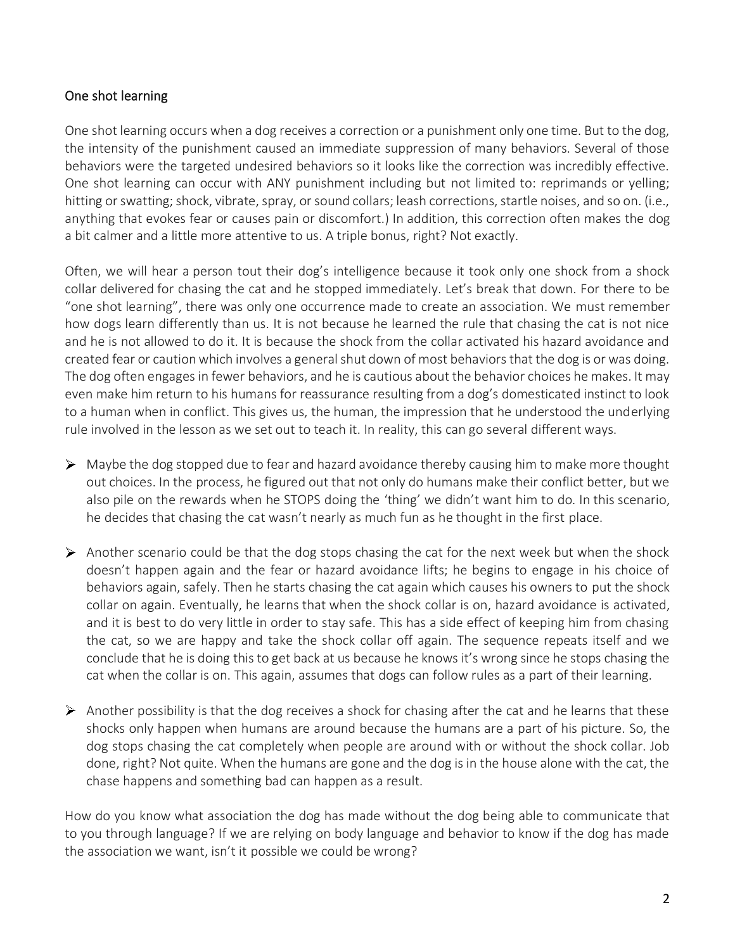## One shot learning

One shot learning occurs when a dog receives a correction or a punishment only one time. But to the dog, the intensity of the punishment caused an immediate suppression of many behaviors. Several of those behaviors were the targeted undesired behaviors so it looks like the correction was incredibly effective. One shot learning can occur with ANY punishment including but not limited to: reprimands or yelling; hitting or swatting; shock, vibrate, spray, or sound collars; leash corrections, startle noises, and so on. (i.e., anything that evokes fear or causes pain or discomfort.) In addition, this correction often makes the dog a bit calmer and a little more attentive to us. A triple bonus, right? Not exactly.

Often, we will hear a person tout their dog's intelligence because it took only one shock from a shock collar delivered for chasing the cat and he stopped immediately. Let's break that down. For there to be "one shot learning", there was only one occurrence made to create an association. We must remember how dogs learn differently than us. It is not because he learned the rule that chasing the cat is not nice and he is not allowed to do it. It is because the shock from the collar activated his hazard avoidance and created fear or caution which involves a general shut down of most behaviors that the dog is or was doing. The dog often engages in fewer behaviors, and he is cautious about the behavior choices he makes. It may even make him return to his humans for reassurance resulting from a dog's domesticated instinct to look to a human when in conflict. This gives us, the human, the impression that he understood the underlying rule involved in the lesson as we set out to teach it. In reality, this can go several different ways.

- $\triangleright$  Maybe the dog stopped due to fear and hazard avoidance thereby causing him to make more thought out choices. In the process, he figured out that not only do humans make their conflict better, but we also pile on the rewards when he STOPS doing the 'thing' we didn't want him to do. In this scenario, he decides that chasing the cat wasn't nearly as much fun as he thought in the first place.
- $\triangleright$  Another scenario could be that the dog stops chasing the cat for the next week but when the shock doesn't happen again and the fear or hazard avoidance lifts; he begins to engage in his choice of behaviors again, safely. Then he starts chasing the cat again which causes his owners to put the shock collar on again. Eventually, he learns that when the shock collar is on, hazard avoidance is activated, and it is best to do very little in order to stay safe. This has a side effect of keeping him from chasing the cat, so we are happy and take the shock collar off again. The sequence repeats itself and we conclude that he is doing this to get back at us because he knows it's wrong since he stops chasing the cat when the collar is on. This again, assumes that dogs can follow rules as a part of their learning.
- $\triangleright$  Another possibility is that the dog receives a shock for chasing after the cat and he learns that these shocks only happen when humans are around because the humans are a part of his picture. So, the dog stops chasing the cat completely when people are around with or without the shock collar. Job done, right? Not quite. When the humans are gone and the dog is in the house alone with the cat, the chase happens and something bad can happen as a result.

How do you know what association the dog has made without the dog being able to communicate that to you through language? If we are relying on body language and behavior to know if the dog has made the association we want, isn't it possible we could be wrong?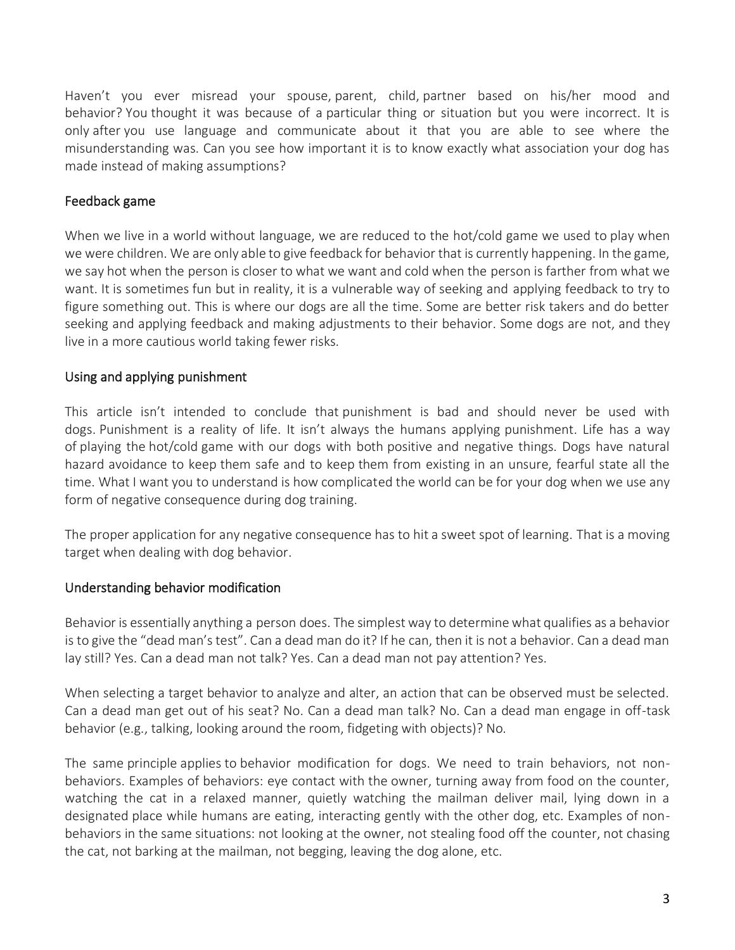Haven't you ever misread your spouse, parent, child, partner based on his/her mood and behavior? You thought it was because of a particular thing or situation but you were incorrect. It is only after you use language and communicate about it that you are able to see where the misunderstanding was. Can you see how important it is to know exactly what association your dog has made instead of making assumptions?

## Feedback game

When we live in a world without language, we are reduced to the hot/cold game we used to play when we were children. We are only able to give feedback for behavior that is currently happening. In the game, we say hot when the person is closer to what we want and cold when the person is farther from what we want. It is sometimes fun but in reality, it is a vulnerable way of seeking and applying feedback to try to figure something out. This is where our dogs are all the time. Some are better risk takers and do better seeking and applying feedback and making adjustments to their behavior. Some dogs are not, and they live in a more cautious world taking fewer risks.

#### Using and applying punishment

This article isn't intended to conclude that punishment is bad and should never be used with dogs. Punishment is a reality of life. It isn't always the humans applying punishment. Life has a way of playing the hot/cold game with our dogs with both positive and negative things. Dogs have natural hazard avoidance to keep them safe and to keep them from existing in an unsure, fearful state all the time. What I want you to understand is how complicated the world can be for your dog when we use any form of negative consequence during dog training.

The proper application for any negative consequence has to hit a sweet spot of learning. That is a moving target when dealing with dog behavior.

#### Understanding behavior modification

Behavior is essentially anything a person does. The simplest way to determine what qualifies as a behavior is to give the "dead man's test". Can a dead man do it? If he can, then it is not a behavior. Can a dead man lay still? Yes. Can a dead man not talk? Yes. Can a dead man not pay attention? Yes.

When selecting a target behavior to analyze and alter, an action that can be observed must be selected. Can a dead man get out of his seat? No. Can a dead man talk? No. Can a dead man engage in off-task behavior (e.g., talking, looking around the room, fidgeting with objects)? No.

The same principle applies to behavior modification for dogs. We need to train behaviors, not nonbehaviors. Examples of behaviors: eye contact with the owner, turning away from food on the counter, watching the cat in a relaxed manner, quietly watching the mailman deliver mail, lying down in a designated place while humans are eating, interacting gently with the other dog, etc. Examples of nonbehaviors in the same situations: not looking at the owner, not stealing food off the counter, not chasing the cat, not barking at the mailman, not begging, leaving the dog alone, etc.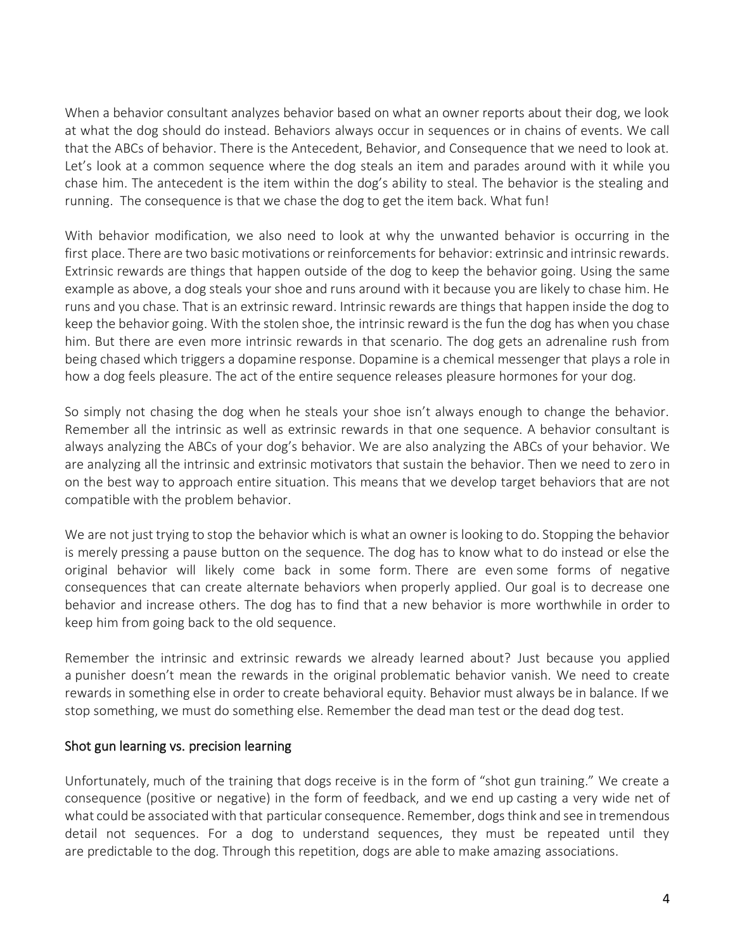When a behavior consultant analyzes behavior based on what an owner reports about their dog, we look at what the dog should do instead. Behaviors always occur in sequences or in chains of events. We call that the ABCs of behavior. There is the Antecedent, Behavior, and Consequence that we need to look at. Let's look at a common sequence where the dog steals an item and parades around with it while you chase him. The antecedent is the item within the dog's ability to steal. The behavior is the stealing and running. The consequence is that we chase the dog to get the item back. What fun!

With behavior modification, we also need to look at why the unwanted behavior is occurring in the first place. There are two basic motivations or reinforcements for behavior: extrinsic and intrinsic rewards. Extrinsic rewards are things that happen outside of the dog to keep the behavior going. Using the same example as above, a dog steals your shoe and runs around with it because you are likely to chase him. He runs and you chase. That is an extrinsic reward. Intrinsic rewards are things that happen inside the dog to keep the behavior going. With the stolen shoe, the intrinsic reward is the fun the dog has when you chase him. But there are even more intrinsic rewards in that scenario. The dog gets an adrenaline rush from being chased which triggers a dopamine response. Dopamine is a chemical messenger that plays a role in how a dog feels pleasure. The act of the entire sequence releases pleasure hormones for your dog.

So simply not chasing the dog when he steals your shoe isn't always enough to change the behavior. Remember all the intrinsic as well as extrinsic rewards in that one sequence. A behavior consultant is always analyzing the ABCs of your dog's behavior. We are also analyzing the ABCs of your behavior. We are analyzing all the intrinsic and extrinsic motivators that sustain the behavior. Then we need to zero in on the best way to approach entire situation. This means that we develop target behaviors that are not compatible with the problem behavior.

We are not just trying to stop the behavior which is what an owner is looking to do. Stopping the behavior is merely pressing a pause button on the sequence. The dog has to know what to do instead or else the original behavior will likely come back in some form. There are even some forms of negative consequences that can create alternate behaviors when properly applied. Our goal is to decrease one behavior and increase others. The dog has to find that a new behavior is more worthwhile in order to keep him from going back to the old sequence.

Remember the intrinsic and extrinsic rewards we already learned about? Just because you applied a punisher doesn't mean the rewards in the original problematic behavior vanish. We need to create rewards in something else in order to create behavioral equity. Behavior must always be in balance. If we stop something, we must do something else. Remember the dead man test or the dead dog test.

#### Shot gun learning vs. precision learning

Unfortunately, much of the training that dogs receive is in the form of "shot gun training." We create a consequence (positive or negative) in the form of feedback, and we end up casting a very wide net of what could be associated with that particular consequence. Remember, dogs think and see in tremendous detail not sequences. For a dog to understand sequences, they must be repeated until they are predictable to the dog. Through this repetition, dogs are able to make amazing associations.